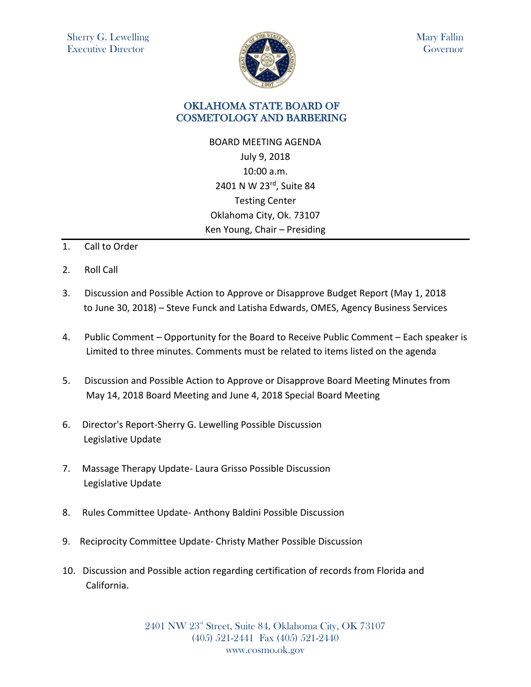

Mary Fallin Governor

## OKLAHOMA STATE BOARD OF COSMETOLOGY AND BARBERING

BOARD MEETING AGENDA July 9, 2018 10:00 a.m. 2401 N W 23rd, Suite 84 Testing Center Oklahoma City, Ok. 73107 Ken Young, Chair – Presiding

- 1. Call to Order
- 2. Roll Call
- 3. Discussion and Possible Action to Approve or Disapprove Budget Report (May 1, 2018 to June 30, 2018) – Steve Funck and Latisha Edwards, OMES, Agency Business Services
- 4. Public Comment Opportunity for the Board to Receive Public Comment Each speaker is Limited to three minutes. Comments must be related to items listed on the agenda
- 5. Discussion and Possible Action to Approve or Disapprove Board Meeting Minutes from May 14, 2018 Board Meeting and June 4, 2018 Special Board Meeting
- 6. Director's Report-Sherry G. Lewelling Possible Discussion Legislative Update
- 7. Massage Therapy Update- Laura Grisso Possible Discussion Legislative Update
- 8. Rules Committee Update- Anthony Baldini Possible Discussion
- 9. Reciprocity Committee Update- Christy Mather Possible Discussion
- 10. Discussion and Possible action regarding certification of records from Florida and California.

2401 NW 23rd Street, Suite 84, Oklahoma City, OK 73107 (405) 521-2441 Fax (405) 521-2440 www.cosmo.ok.gov